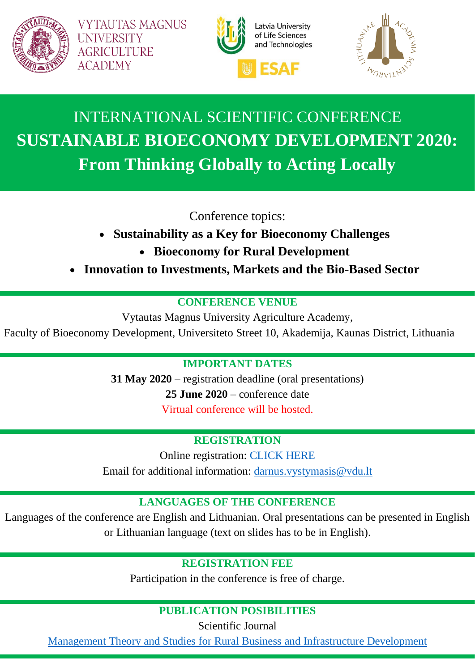

**VYTAUTAS MAGNUS UNIVERSITY AGRICULTURE ACADEMY** 





# INTERNATIONAL SCIENTIFIC CONFERENCE **SUSTAINABLE BIOECONOMY DEVELOPMENT 2020: From Thinking Globally to Acting Locally**

Conference topics:

- **Sustainability as a Key for Bioeconomy Challenges**
	- **Bioeconomy for Rural Development**
- **Innovation to Investments, Markets and the Bio-Based Sector**

### **CONFERENCE VENUE**

Vytautas Magnus University Agriculture Academy,

Faculty of Bioeconomy Development, Universiteto Street 10, Akademija, Kaunas District, Lithuania

### **IMPORTANT DATES**

**31 May 2020** – registration deadline (oral presentations) **25 June 2020** – conference date Virtual conference will be hosted.

### **REGISTRATION**

Online registration: [CLICK HERE](https://docs.google.com/forms/d/e/1FAIpQLSf2npJW244g74HrIM-8N-2Y35KvtW9l7TQkmtP_sLdfgEvL_A/viewform) Email for additional information: [darnus.vystymasis@vdu.lt](mailto:darnus.vystymasis@vdu.lt)

### **LANGUAGES OF THE CONFERENCE**

Languages of the conference are English and Lithuanian. Oral presentations can be presented in English or Lithuanian language (text on slides has to be in English).

### **REGISTRATION FEE**

Participation in the conference is free of charge.

### **PUBLICATION POSIBILITIES**

Scientific Journal

[Management Theory and Studies for Rural Business](https://ejournals.vdu.lt/index.php/mtsrbid/index) and Infrastructure Development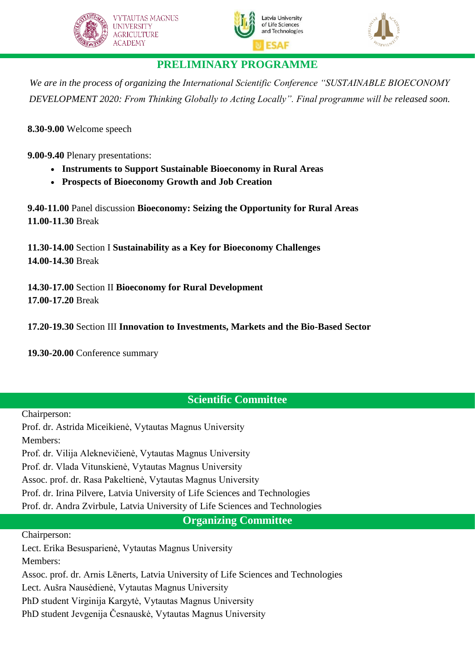





### **PRELIMINARY PROGRAMME**

*We are in the process of organizing the International Scientific Conference "SUSTAINABLE BIOECONOMY DEVELOPMENT 2020: From Thinking Globally to Acting Locally". Final programme will be released soon.*

**8.30-9.00** Welcome speech

**9.00-9.40** Plenary presentations:

- **Instruments to Support Sustainable Bioeconomy in Rural Areas**
- **Prospects of Bioeconomy Growth and Job Creation**

**9.40-11.00** Panel discussion **Bioeconomy: Seizing the Opportunity for Rural Areas 11.00-11.30** Break

**11.30-14.00** Section I **Sustainability as a Key for Bioeconomy Challenges 14.00-14.30** Break

**14.30-17.00** Section II **Bioeconomy for Rural Development 17.00-17.20** Break

**17.20-19.30** Section III **Innovation to Investments, Markets and the Bio-Based Sector**

**19.30-20.00** Conference summary

### **Scientific Committee**

Chairperson:

Prof. dr. Astrida Miceikienė, Vytautas Magnus University Members: Prof. dr. Vilija Aleknevičienė, Vytautas Magnus University Prof. dr. Vlada Vitunskienė, Vytautas Magnus University Assoc. prof. dr. Rasa Pakeltienė, Vytautas Magnus University Prof. dr. Irina Pilvere, Latvia University of Life Sciences and Technologies Prof. dr. Andra Zvirbule, Latvia University of Life Sciences and Technologies

**Organizing Committee**

Chairperson:

Lect. Erika Besusparienė, Vytautas Magnus University Members:

Assoc. prof. dr. Arnis Lēnerts, Latvia University of Life Sciences and Technologies

Lect. Aušra Nausėdienė, Vytautas Magnus University

PhD student Virginija Kargytė, Vytautas Magnus University

PhD student Jevgenija Česnauskė, Vytautas Magnus University